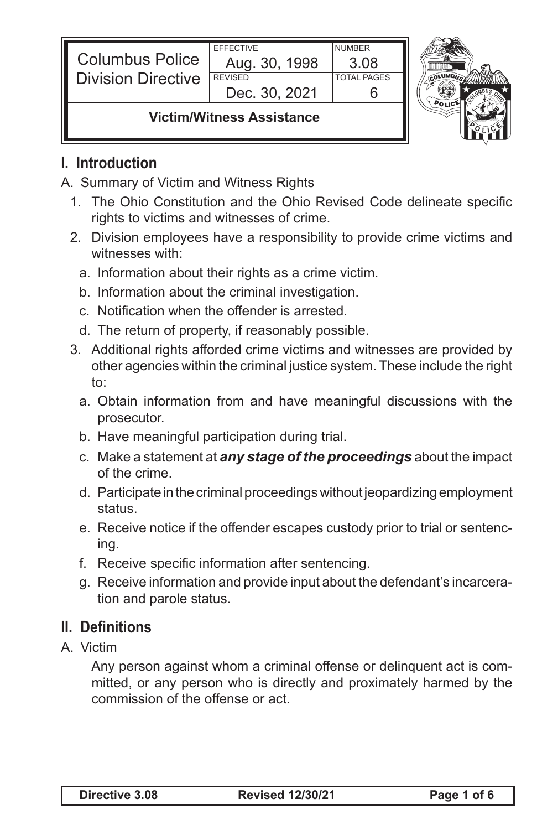| <b>Columbus Police</b><br><b>Division Directive</b> | <b>EFFECTIVE</b><br>Aug. 30, 1998<br><b>REVISED</b> | <b>NUMBER</b><br>3 Q8<br><b>TOTAL PAGES</b> |  |
|-----------------------------------------------------|-----------------------------------------------------|---------------------------------------------|--|
|                                                     | Dec. 30, 2021                                       |                                             |  |
| \/;at;ma/\A/;tnaaaa Aaa;atanaaa                     |                                                     |                                             |  |

#### **Victim/Witness Assistance**

#### **I. Introduction**

- A. Summary of Victim and Witness Rights
	- 1. The Ohio Constitution and the Ohio Revised Code delineate specific rights to victims and witnesses of crime.
	- 2. Division employees have a responsibility to provide crime victims and witnesses with:
		- a. Information about their rights as a crime victim.
		- b. Information about the criminal investigation.
		- c. Notification when the offender is arrested.
		- d. The return of property, if reasonably possible.
	- 3. Additional rights afforded crime victims and witnesses are provided by other agencies within the criminal justice system. These include the right to:
		- a. Obtain information from and have meaningful discussions with the prosecutor.
		- b. Have meaningful participation during trial.
		- c. Make a statement at *any stage of the proceedings* about the impact of the crime.
		- d. Participate in the criminal proceedings without jeopardizing employment status.
		- e. Receive notice if the offender escapes custody prior to trial or sentencing.
		- f. Receive specific information after sentencing.
		- g. Receive information and provide input about the defendant's incarceration and parole status.

## **II. Definitions**

A. Victim

 Any person against whom a criminal offense or delinquent act is committed, or any person who is directly and proximately harmed by the commission of the offense or act.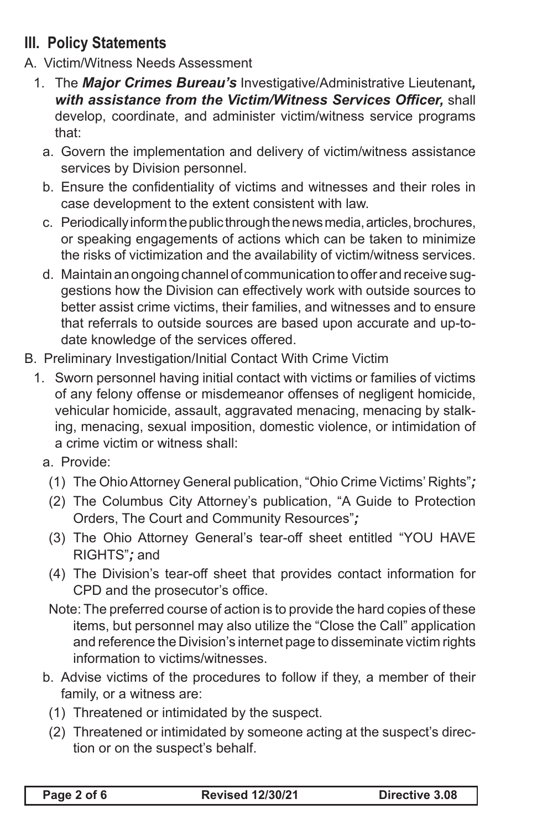# **III. Policy Statements**

- A. Victim/Witness Needs Assessment
	- 1. The *Major Crimes Bureau's* Investigative/Administrative Lieutenant*, with assistance from the Victim/Witness Services Officer,* shall develop, coordinate, and administer victim/witness service programs that:
		- a. Govern the implementation and delivery of victim/witness assistance services by Division personnel.
		- b. Ensure the confidentiality of victims and witnesses and their roles in case development to the extent consistent with law.
		- c. Periodically inform the public through the news media, articles, brochures, or speaking engagements of actions which can be taken to minimize the risks of victimization and the availability of victim/witness services.
		- d. Maintain an ongoing channel of communication to offer and receive suggestions how the Division can effectively work with outside sources to better assist crime victims, their families, and witnesses and to ensure that referrals to outside sources are based upon accurate and up-todate knowledge of the services offered.
- B. Preliminary Investigation/Initial Contact With Crime Victim
	- 1. Sworn personnel having initial contact with victims or families of victims of any felony offense or misdemeanor offenses of negligent homicide, vehicular homicide, assault, aggravated menacing, menacing by stalking, menacing, sexual imposition, domestic violence, or intimidation of a crime victim or witness shall:
		- a. Provide:
			- (1) The Ohio Attorney General publication, "Ohio Crime Victims' Rights"*;*
			- (2) The Columbus City Attorney's publication, "A Guide to Protection Orders, The Court and Community Resources"*;*
			- (3) The Ohio Attorney General's tear-off sheet entitled "YOU HAVE RIGHTS"*;* and
			- (4) The Division's tear-off sheet that provides contact information for CPD and the prosecutor's office.
			- Note: The preferred course of action is to provide the hard copies of these items, but personnel may also utilize the "Close the Call" application and reference the Division's internet page to disseminate victim rights information to victims/witnesses.
		- b. Advise victims of the procedures to follow if they, a member of their family, or a witness are:
			- (1) Threatened or intimidated by the suspect.
			- (2) Threatened or intimidated by someone acting at the suspect's direction or on the suspect's behalf.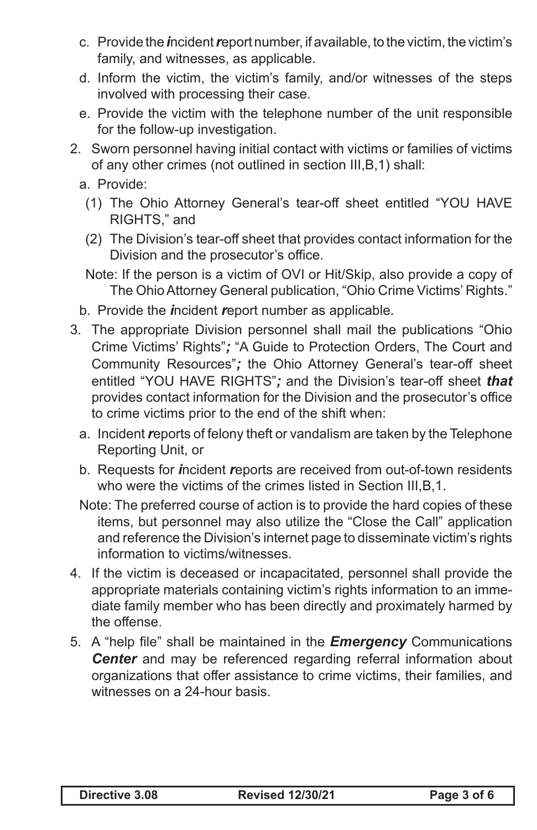- c. Provide the *i*ncident *r*eport number, if available, to the victim, the victim's family, and witnesses, as applicable.
- d. Inform the victim, the victim's family, and/or witnesses of the steps involved with processing their case.
- e. Provide the victim with the telephone number of the unit responsible for the follow-up investigation.
- 2. Sworn personnel having initial contact with victims or families of victims of any other crimes (not outlined in section III,B,1) shall:
	- a. Provide:
		- (1) The Ohio Attorney General's tear-off sheet entitled "YOU HAVE RIGHTS," and
		- (2) The Division's tear-off sheet that provides contact information for the Division and the prosecutor's office.
		- Note: If the person is a victim of OVI or Hit/Skip, also provide a copy of The Ohio Attorney General publication, "Ohio Crime Victims' Rights."
	- b. Provide the *i*ncident *r*eport number as applicable.
- 3. The appropriate Division personnel shall mail the publications "Ohio Crime Victims' Rights"*;* "A Guide to Protection Orders, The Court and Community Resources"*;* the Ohio Attorney General's tear-off sheet entitled "YOU HAVE RIGHTS"*;* and the Division's tear-off sheet *that* provides contact information for the Division and the prosecutor's office to crime victims prior to the end of the shift when:
	- a. Incident *r*eports of felony theft or vandalism are taken by the Telephone Reporting Unit, or
	- b. Requests for *i*ncident *r*eports are received from out-of-town residents who were the victims of the crimes listed in Section III,B,1.
	- Note: The preferred course of action is to provide the hard copies of these items, but personnel may also utilize the "Close the Call" application and reference the Division's internet page to disseminate victim's rights information to victims/witnesses.
- 4. If the victim is deceased or incapacitated, personnel shall provide the appropriate materials containing victim's rights information to an immediate family member who has been directly and proximately harmed by the offense.
- 5. A "help file" shall be maintained in the *Emergency* Communications *Center* and may be referenced regarding referral information about organizations that offer assistance to crime victims, their families, and witnesses on a 24-hour basis.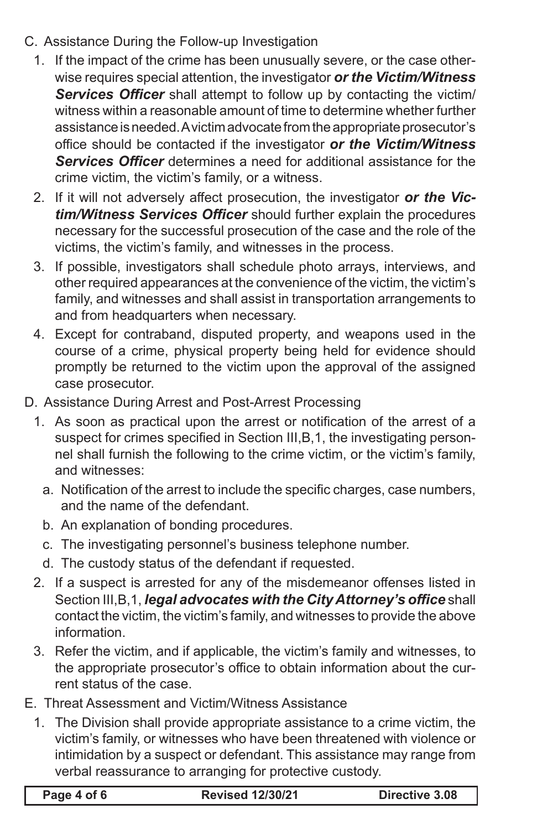- C. Assistance During the Follow-up Investigation
	- 1. If the impact of the crime has been unusually severe, or the case otherwise requires special attention, the investigator *or the Victim/Witness Services Officer* shall attempt to follow up by contacting the victim/ witness within a reasonable amount of time to determine whether further assistance is needed. A victim advocate from the appropriate prosecutor's office should be contacted if the investigator *or the Victim/Witness Services Officer* determines a need for additional assistance for the crime victim, the victim's family, or a witness.
	- 2. If it will not adversely affect prosecution, the investigator *or the Victim/Witness Services Officer* should further explain the procedures necessary for the successful prosecution of the case and the role of the victims, the victim's family, and witnesses in the process.
	- 3. If possible, investigators shall schedule photo arrays, interviews, and other required appearances at the convenience of the victim, the victim's family, and witnesses and shall assist in transportation arrangements to and from headquarters when necessary.
	- 4. Except for contraband, disputed property, and weapons used in the course of a crime, physical property being held for evidence should promptly be returned to the victim upon the approval of the assigned case prosecutor.
- D. Assistance During Arrest and Post-Arrest Processing
	- 1. As soon as practical upon the arrest or notification of the arrest of a suspect for crimes specified in Section III, B, 1, the investigating personnel shall furnish the following to the crime victim, or the victim's family, and witnesses:
		- a. Notification of the arrest to include the specific charges, case numbers, and the name of the defendant.
		- b. An explanation of bonding procedures.
		- c. The investigating personnel's business telephone number.
		- d. The custody status of the defendant if requested.
	- 2. If a suspect is arrested for any of the misdemeanor offenses listed in Section III,B,1, *legal advocates with the City Attorney's office* shall contact the victim, the victim's family, and witnesses to provide the above information.
	- 3. Refer the victim, and if applicable, the victim's family and witnesses, to the appropriate prosecutor's office to obtain information about the current status of the case.
- E. Threat Assessment and Victim/Witness Assistance
	- 1. The Division shall provide appropriate assistance to a crime victim, the victim's family, or witnesses who have been threatened with violence or intimidation by a suspect or defendant. This assistance may range from verbal reassurance to arranging for protective custody.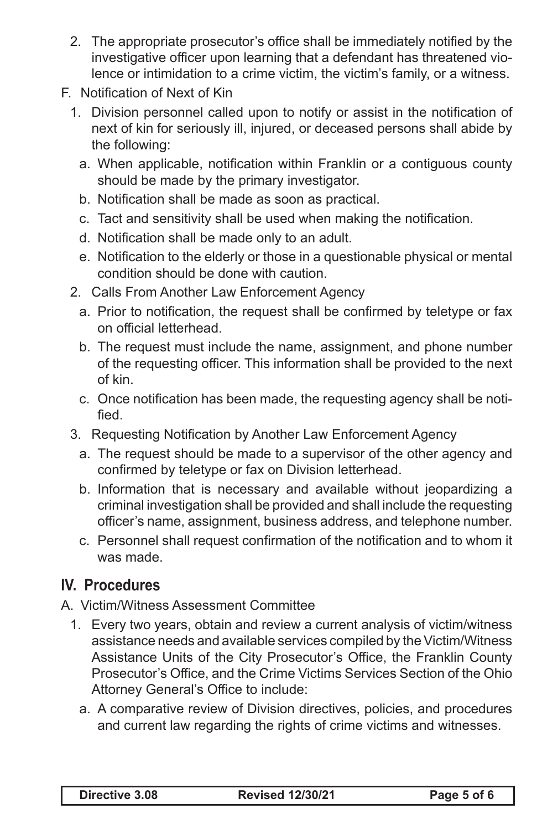- 2. The appropriate prosecutor's office shall be immediately notified by the investigative officer upon learning that a defendant has threatened violence or intimidation to a crime victim, the victim's family, or a witness.
- F. Notification of Next of Kin
	- 1. Division personnel called upon to notify or assist in the notification of next of kin for seriously ill, injured, or deceased persons shall abide by the following:
		- a. When applicable, notification within Franklin or a contiguous county should be made by the primary investigator.
		- b. Notification shall be made as soon as practical.
		- c. Tact and sensitivity shall be used when making the notification.
		- d. Notification shall be made only to an adult.
		- e. Notification to the elderly or those in a questionable physical or mental condition should be done with caution.
	- 2. Calls From Another Law Enforcement Agency
		- a. Prior to notification, the request shall be confirmed by teletype or fax on official letterhead.
		- b. The request must include the name, assignment, and phone number of the requesting officer. This information shall be provided to the next of kin.
		- c. Once notification has been made, the requesting agency shall be notified.
	- 3. Requesting Notification by Another Law Enforcement Agency
		- a. The request should be made to a supervisor of the other agency and confirmed by teletype or fax on Division letterhead.
		- b. Information that is necessary and available without jeopardizing a criminal investigation shall be provided and shall include the requesting officer's name, assignment, business address, and telephone number.
		- c. Personnel shall request confirmation of the notification and to whom it was made.

## **IV. Procedures**

A. Victim/Witness Assessment Committee

- 1. Every two years, obtain and review a current analysis of victim/witness assistance needs and available services compiled by the Victim/Witness Assistance Units of the City Prosecutor's Office, the Franklin County Prosecutor's Office, and the Crime Victims Services Section of the Ohio Attorney General's Office to include:
	- a. A comparative review of Division directives, policies, and procedures and current law regarding the rights of crime victims and witnesses.